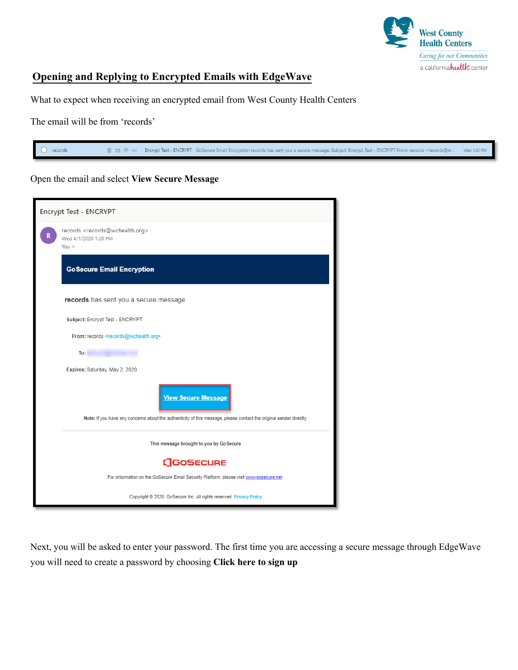

## **Opening and Replying to Encrypted Emails with EdgeWave**

What to expect when receiving an encrypted email from West County Health Centers

The email will be from 'records'

 $\bigcirc$  records fili □ P1 + Encrypt Test - ENCRYPT GoSecure Email Encryption records has sent you a secure message. Subject: Encrypt Test - ENCRYPT From: records <records@w Wed 1:20 PM

## Open the email and select **View Secure Message**

| Encrypt Test - ENCRYPT                                                                                                                            |  |  |  |
|---------------------------------------------------------------------------------------------------------------------------------------------------|--|--|--|
| records <records@wchealth.org><br/>Wed 4/1/2020 1:20 PM<br/>You <math>\vee</math></records@wchealth.org>                                          |  |  |  |
| <b>GoSecure Email Encryption</b>                                                                                                                  |  |  |  |
| records has sent you a secure message.                                                                                                            |  |  |  |
| Subject: Encrypt Test - ENCRYPT                                                                                                                   |  |  |  |
| From: records <records@wchealth.org></records@wchealth.org>                                                                                       |  |  |  |
| To:                                                                                                                                               |  |  |  |
| Expires: Saturday, May 2, 2020                                                                                                                    |  |  |  |
| <b>View Secure Message</b><br>Note: If you have any concerns about the authenticity of this message, please contact the original sender directly. |  |  |  |
| This message brought to you by Go Secure                                                                                                          |  |  |  |
| <b>[]GOSECURE</b>                                                                                                                                 |  |  |  |
| For information on the GoSecure Email Security Platform, please visit www.gosecure.net.                                                           |  |  |  |
| Copyright @ 2020, GoSecure Inc. All rights reserved. Privacy Policy                                                                               |  |  |  |

Next, you will be asked to enter your password. The first time you are accessing a secure message through EdgeWave you will need to create a password by choosing **Click here to sign up**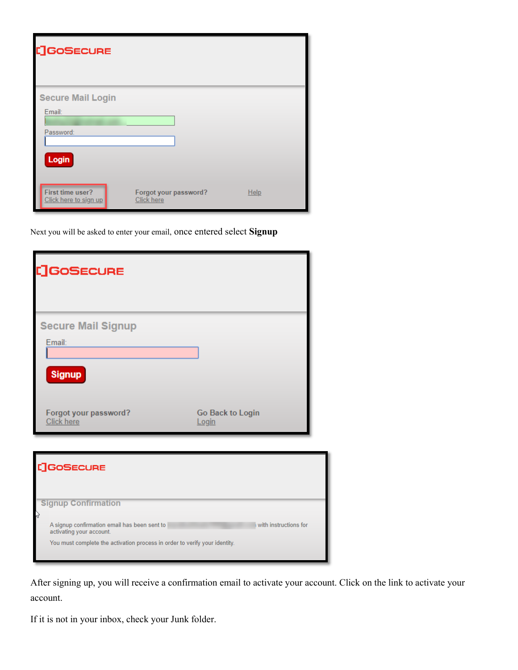| <b>[]GOSECURE</b>                                        |                                            |      |
|----------------------------------------------------------|--------------------------------------------|------|
| <b>Secure Mail Login</b><br>Email:<br>Password:<br>Login |                                            |      |
| <b>First time user?</b><br>Click here to sign up         | Forgot your password?<br><b>Click here</b> | Help |

Next you will be asked to enter your email, once entered select **Signup**

| []GOSECURE                                                  |                                                                                                                            |                           |                       |
|-------------------------------------------------------------|----------------------------------------------------------------------------------------------------------------------------|---------------------------|-----------------------|
| Email:<br><b>Signup</b>                                     | <b>Secure Mail Signup</b>                                                                                                  |                           |                       |
| Click here                                                  | Forgot your password?                                                                                                      | Go Back to Login<br>Login |                       |
| <b>:]GoSECURE</b>                                           |                                                                                                                            |                           |                       |
| <b>Signup Confirmation</b><br>v<br>activating your account. | A signup confirmation email has been sent to<br>You must complete the activation process in order to verify your identity. |                           | with instructions for |

After signing up, you will receive a confirmation email to activate your account. Click on the link to activate your account.

If it is not in your inbox, check your Junk folder.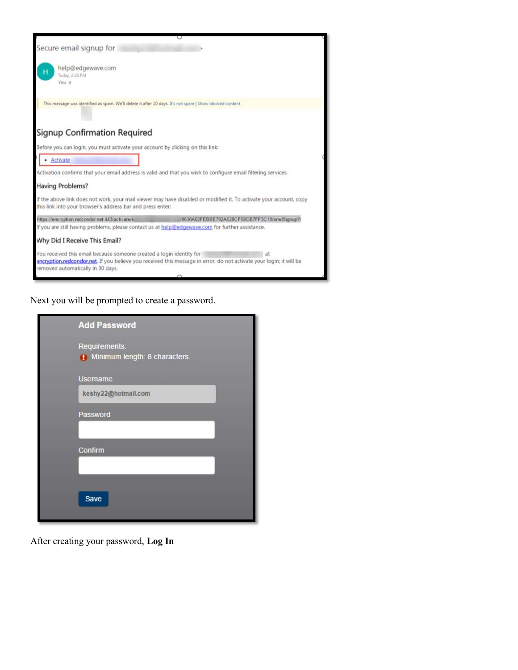

Next you will be prompted to create a password.

| <b>Add Password</b>                                      |  |
|----------------------------------------------------------|--|
| Requirements:<br><b>()</b> Minimum length: 8 characters. |  |
| <b>Username</b>                                          |  |
| keshy22@hotmail.com                                      |  |
| Password                                                 |  |
| Confirm                                                  |  |
| Save                                                     |  |

After creating your password, **Log In**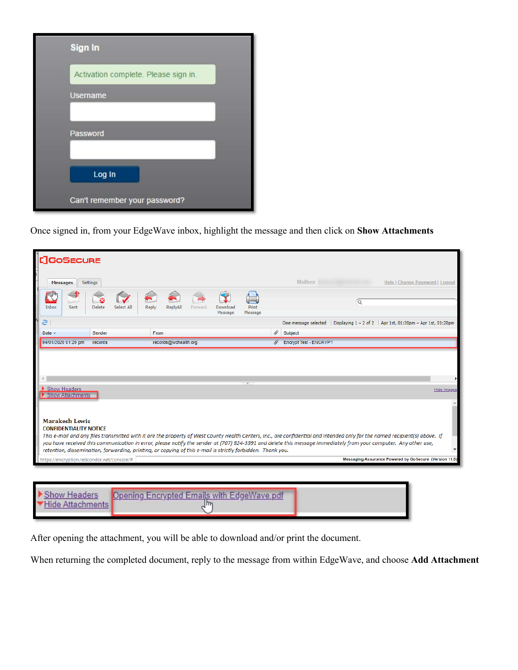| Sign In                              |
|--------------------------------------|
| Activation complete. Please sign in. |
| <b>Username</b>                      |
|                                      |
| Password                             |
|                                      |
| Log In                               |
| Can't remember your password?        |

Once signed in, from your EdgeWave inbox, highlight the message and then click on **Show Attachments**

| <b>LIGOSECURE</b>                                                                                                                                                                                                                                                                                                                                                                                                                                                                                                        |                                                                                    |
|--------------------------------------------------------------------------------------------------------------------------------------------------------------------------------------------------------------------------------------------------------------------------------------------------------------------------------------------------------------------------------------------------------------------------------------------------------------------------------------------------------------------------|------------------------------------------------------------------------------------|
| Settings<br><b>Messages</b>                                                                                                                                                                                                                                                                                                                                                                                                                                                                                              | Mailbox:<br>Help   Change Password   Logout                                        |
| Delete<br>ReplyAll<br>Download<br>Print<br>Inbox<br>Select All<br>Reply<br>Sent<br>Forward<br>Message<br>Message                                                                                                                                                                                                                                                                                                                                                                                                         | Ω                                                                                  |
| æ.                                                                                                                                                                                                                                                                                                                                                                                                                                                                                                                       | One message selected   Displaying 1 - 2 of 2   Apr 1st, 01:20pm - Apr 1st, 01:20pm |
| Date $\sim$<br>Sender<br>From                                                                                                                                                                                                                                                                                                                                                                                                                                                                                            | 4<br>Subject                                                                       |
| 04/01/2020 01:20 pm<br>records@wchealth.org<br>records                                                                                                                                                                                                                                                                                                                                                                                                                                                                   | B<br><b>Encrypt Test - ENCRYPT</b>                                                 |
| Show Headers<br>Show Attachments                                                                                                                                                                                                                                                                                                                                                                                                                                                                                         | <b>Hide Images</b>                                                                 |
| <b>Marakesh Lewis</b><br><b>CONFIDENTIALITY NOTICE</b><br>This e-mail and any files transmitted with it are the property of West County Health Centers, Inc., are confidential and intended only for the named recipient(s) above. If<br>you have received this communication in error, please notify the sender at (707) 824-3391 and delete this message immediately from your computer. Any other use,<br>retention, dissemination, forwarding, printing, or copying of this e-mail is strictly forbidden. Thank you. |                                                                                    |

| Show Headers<br>Hide Attachman | Opening Encrypted Emails with EdgeWave.pdf |  |
|--------------------------------|--------------------------------------------|--|
|                                |                                            |  |

After opening the attachment, you will be able to download and/or print the document.

When returning the completed document, reply to the message from within EdgeWave, and choose **Add Attachment**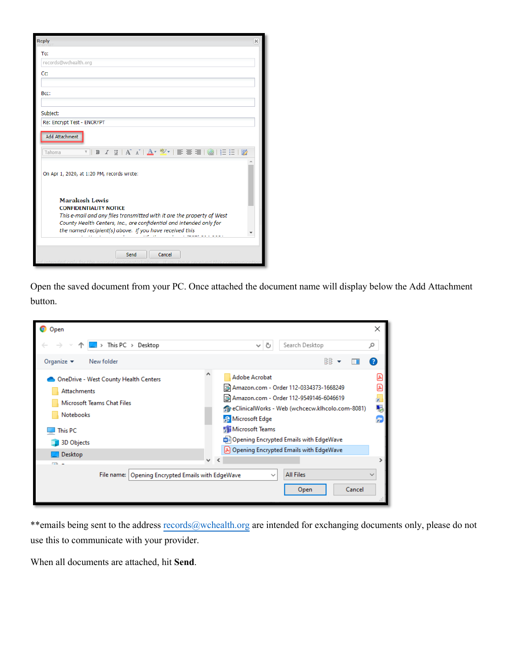| <b>Reply</b>                                                                                                                                                                                     | × |
|--------------------------------------------------------------------------------------------------------------------------------------------------------------------------------------------------|---|
| To:                                                                                                                                                                                              |   |
| records@wchealth.org                                                                                                                                                                             |   |
| Cc:                                                                                                                                                                                              |   |
| Bcc:                                                                                                                                                                                             |   |
| Subject:                                                                                                                                                                                         |   |
| Re: Encrypt Test - ENCRYPT                                                                                                                                                                       |   |
| <b>Add Attachment</b>                                                                                                                                                                            |   |
| Tahoma                                                                                                                                                                                           |   |
| On Apr 1, 2020, at 1:20 PM, records wrote:                                                                                                                                                       |   |
| Marakesh Lewis<br><b>CONFIDENTIALITY NOTICE</b><br>This e-mail and any files transmitted with it are the property of West<br>County Health Centers, Inc., are confidential and intended only for |   |
| the named recipient(s) above. If you have received this                                                                                                                                          |   |
| Cancel<br>Send                                                                                                                                                                                   |   |

Open the saved document from your PC. Once attached the document name will display below the Add Attachment button.

| Open                                                                                                                                              | ×                                                                                                                                                                                                                                                                                                                                     |
|---------------------------------------------------------------------------------------------------------------------------------------------------|---------------------------------------------------------------------------------------------------------------------------------------------------------------------------------------------------------------------------------------------------------------------------------------------------------------------------------------|
| $\Box$ > This PC > Desktop                                                                                                                        | Search Desktop<br>Ō<br>مر<br>$\checkmark$                                                                                                                                                                                                                                                                                             |
| Organize $\blacktriangledown$<br>New folder                                                                                                       | 駐開 一                                                                                                                                                                                                                                                                                                                                  |
| OneDrive - West County Health Centers<br>Attachments<br>Microsoft Teams Chat Files<br><b>Notebooks</b><br>This PC<br><b>3D Objects</b><br>Desktop | <b>Adobe Acrobat</b><br>29 Amazon.com - Order 112-0334373-1668249<br>Amazon.com - Order 112-9549146-6046619<br>F<br>eClinicalWorks - Web (wchcecw.klhcolo.com-8081)<br>5<br><b>P</b> Microsoft Edge<br><b>First</b><br><b>Microsoft Teams</b><br>Opening Encrypted Emails with EdgeWave<br>[A] Opening Encrypted Emails with EdgeWave |
| <b>COL</b>                                                                                                                                        | $\checkmark$                                                                                                                                                                                                                                                                                                                          |
| Opening Encrypted Emails with EdgeWave<br>File name:                                                                                              | <b>All Files</b><br>$\checkmark$<br>Cancel<br>Open                                                                                                                                                                                                                                                                                    |

\*\*emails being sent to the address [records@wchealth.org](mailto:records@wchealth.org) are intended for exchanging documents only, please do not use this to communicate with your provider.

When all documents are attached, hit **Send**.